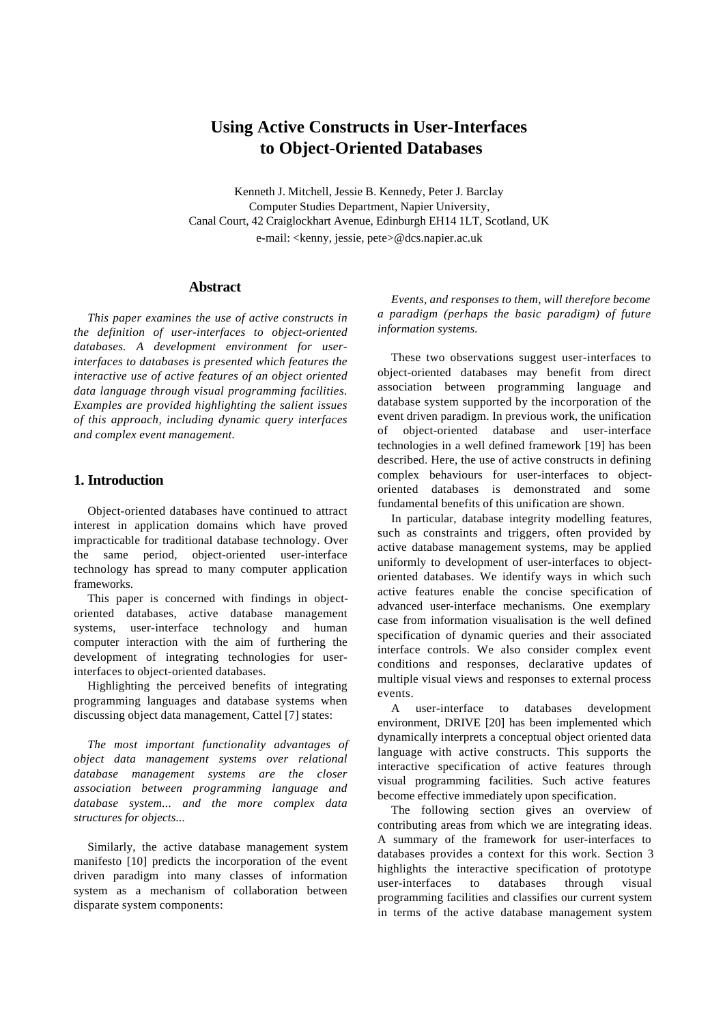# **Using Active Constructs in User-Interfaces to Object-Oriented Databases**

Kenneth J. Mitchell, Jessie B. Kennedy, Peter J. Barclay Computer Studies Department, Napier University, Canal Court, 42 Craiglockhart Avenue, Edinburgh EH14 1LT, Scotland, UK e-mail: <kenny, jessie, pete>@dcs.napier.ac.uk

### **Abstract**

*This paper examines the use of active constructs in the definition of user-interfaces to object-oriented databases. A development environment for userinterfaces to databases is presented which features the interactive use of active features of an object oriented data language through visual programming facilities. Examples are provided highlighting the salient issues of this approach, including dynamic query interfaces and complex event management.*

# **1. Introduction**

Object-oriented databases have continued to attract interest in application domains which have proved impracticable for traditional database technology. Over the same period, object-oriented user-interface technology has spread to many computer application frameworks.

This paper is concerned with findings in objectoriented databases, active database management systems, user-interface technology and human computer interaction with the aim of furthering the development of integrating technologies for userinterfaces to object-oriented databases.

Highlighting the perceived benefits of integrating programming languages and database systems when discussing object data management, Cattel [7] states:

*The most important functionality advantages of object data management systems over relational database management systems are the closer association between programming language and database system... and the more complex data structures for objects...*

Similarly, the active database management system manifesto [10] predicts the incorporation of the event driven paradigm into many classes of information system as a mechanism of collaboration between disparate system components:

*Events, and responses to them, will therefore become a paradigm (perhaps the basic paradigm) of future information systems.*

These two observations suggest user-interfaces to object-oriented databases may benefit from direct association between programming language and database system supported by the incorporation of the event driven paradigm. In previous work, the unification of object-oriented database and user-interface technologies in a well defined framework [19] has been described. Here, the use of active constructs in defining complex behaviours for user-interfaces to objectoriented databases is demonstrated and some fundamental benefits of this unification are shown.

In particular, database integrity modelling features, such as constraints and triggers, often provided by active database management systems, may be applied uniformly to development of user-interfaces to objectoriented databases. We identify ways in which such active features enable the concise specification of advanced user-interface mechanisms. One exemplary case from information visualisation is the well defined specification of dynamic queries and their associated interface controls. We also consider complex event conditions and responses, declarative updates of multiple visual views and responses to external process events.

A user-interface to databases development environment, DRIVE [20] has been implemented which dynamically interprets a conceptual object oriented data language with active constructs. This supports the interactive specification of active features through visual programming facilities. Such active features become effective immediately upon specification.

The following section gives an overview of contributing areas from which we are integrating ideas. A summary of the framework for user-interfaces to databases provides a context for this work. Section 3 highlights the interactive specification of prototype user-interfaces to databases through visual programming facilities and classifies our current system in terms of the active database management system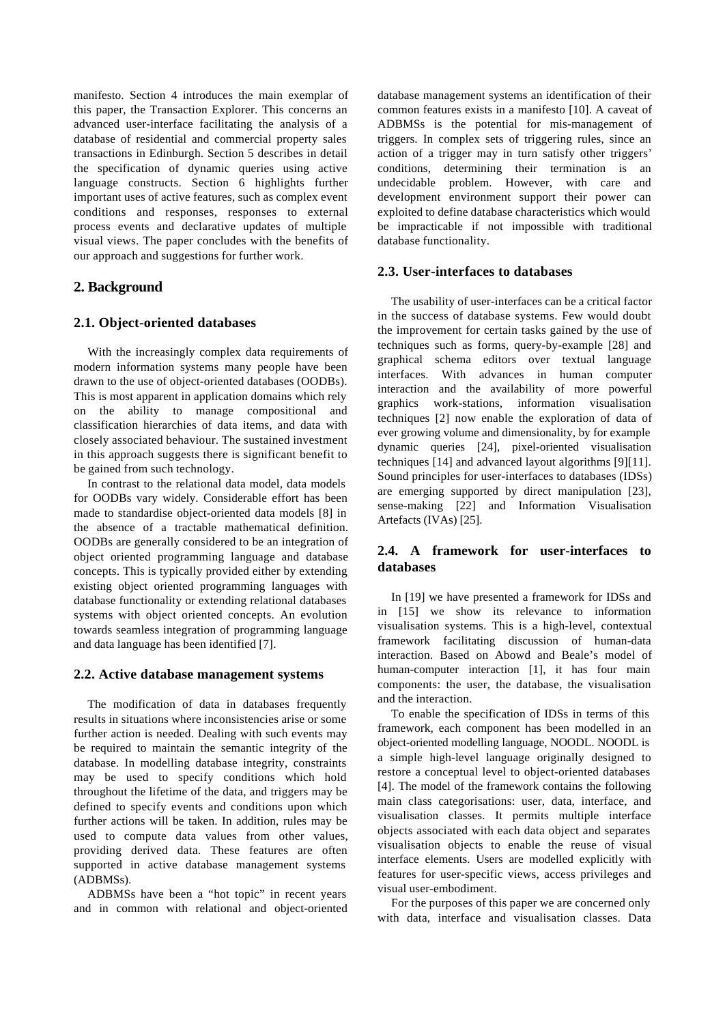manifesto. Section 4 introduces the main exemplar of this paper, the Transaction Explorer. This concerns an advanced user-interface facilitating the analysis of a database of residential and commercial property sales transactions in Edinburgh. Section 5 describes in detail the specification of dynamic queries using active language constructs. Section 6 highlights further important uses of active features, such as complex event conditions and responses, responses to external process events and declarative updates of multiple visual views. The paper concludes with the benefits of our approach and suggestions for further work.

# **2. Background**

#### **2.1. Object-oriented databases**

With the increasingly complex data requirements of modern information systems many people have been drawn to the use of object-oriented databases (OODBs). This is most apparent in application domains which rely on the ability to manage compositional and classification hierarchies of data items, and data with closely associated behaviour. The sustained investment in this approach suggests there is significant benefit to be gained from such technology.

In contrast to the relational data model, data models for OODBs vary widely. Considerable effort has been made to standardise object-oriented data models [8] in the absence of a tractable mathematical definition. OODBs are generally considered to be an integration of object oriented programming language and database concepts. This is typically provided either by extending existing object oriented programming languages with database functionality or extending relational databases systems with object oriented concepts. An evolution towards seamless integration of programming language and data language has been identified [7].

#### **2.2. Active database management systems**

The modification of data in databases frequently results in situations where inconsistencies arise or some further action is needed. Dealing with such events may be required to maintain the semantic integrity of the database. In modelling database integrity, constraints may be used to specify conditions which hold throughout the lifetime of the data, and triggers may be defined to specify events and conditions upon which further actions will be taken. In addition, rules may be used to compute data values from other values, providing derived data. These features are often supported in active database management systems (ADBMSs).

ADBMSs have been a "hot topic" in recent years and in common with relational and object-oriented database management systems an identification of their common features exists in a manifesto [10]. A caveat of ADBMSs is the potential for mis-management of triggers. In complex sets of triggering rules, since an action of a trigger may in turn satisfy other triggers' conditions, determining their termination is an undecidable problem. However, with care and development environment support their power can exploited to define database characteristics which would be impracticable if not impossible with traditional database functionality.

### **2.3. User-interfaces to databases**

The usability of user-interfaces can be a critical factor in the success of database systems. Few would doubt the improvement for certain tasks gained by the use of techniques such as forms, query-by-example [28] and graphical schema editors over textual language interfaces. With advances in human computer interaction and the availability of more powerful graphics work-stations, information visualisation techniques [2] now enable the exploration of data of ever growing volume and dimensionality, by for example dynamic queries [24], pixel-oriented visualisation techniques [14] and advanced layout algorithms [9][11]. Sound principles for user-interfaces to databases (IDSs) are emerging supported by direct manipulation [23], sense-making [22] and Information Visualisation Artefacts (IVAs) [25].

# **2.4. A framework for user-interfaces to databases**

In [19] we have presented a framework for IDSs and in [15] we show its relevance to information visualisation systems. This is a high-level, contextual framework facilitating discussion of human-data interaction. Based on Abowd and Beale's model of human-computer interaction [1], it has four main components: the user, the database, the visualisation and the interaction.

To enable the specification of IDSs in terms of this framework, each component has been modelled in an object-oriented modelling language, NOODL. NOODL is a simple high-level language originally designed to restore a conceptual level to object-oriented databases [4]. The model of the framework contains the following main class categorisations: user, data, interface, and visualisation classes. It permits multiple interface objects associated with each data object and separates visualisation objects to enable the reuse of visual interface elements. Users are modelled explicitly with features for user-specific views, access privileges and visual user-embodiment.

For the purposes of this paper we are concerned only with data, interface and visualisation classes. Data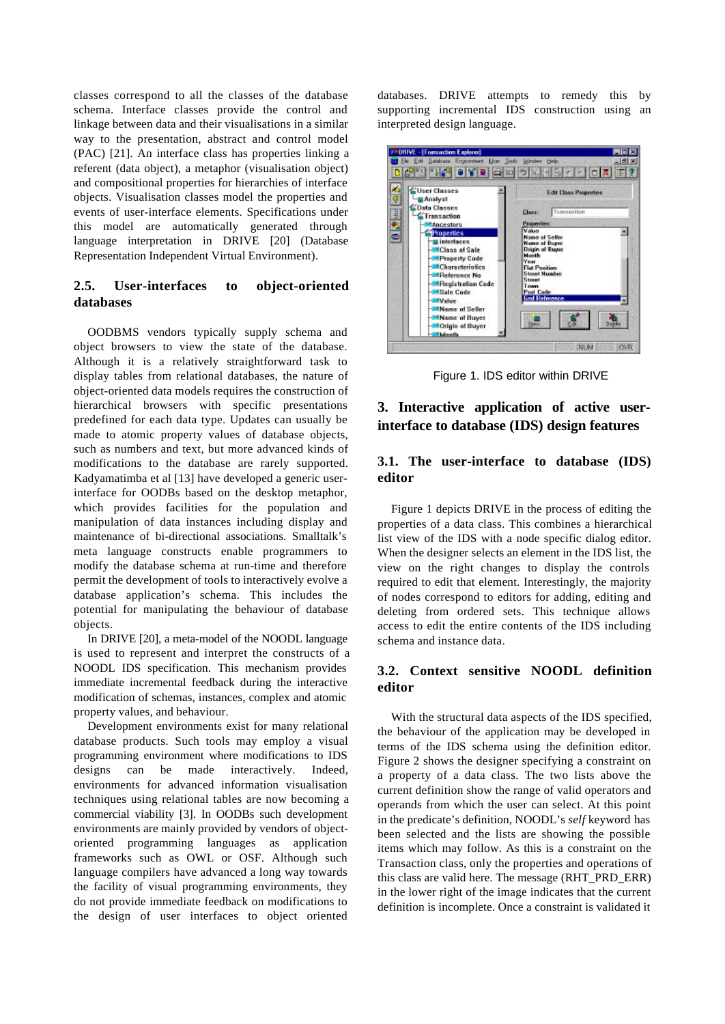classes correspond to all the classes of the database schema. Interface classes provide the control and linkage between data and their visualisations in a similar way to the presentation, abstract and control model (PAC) [21]. An interface class has properties linking a referent (data object), a metaphor (visualisation object) and compositional properties for hierarchies of interface objects. Visualisation classes model the properties and events of user-interface elements. Specifications under this model are automatically generated through language interpretation in DRIVE [20] (Database Representation Independent Virtual Environment).

# **2.5. User-interfaces to object-oriented databases**

OODBMS vendors typically supply schema and object browsers to view the state of the database. Although it is a relatively straightforward task to display tables from relational databases, the nature of object-oriented data models requires the construction of hierarchical browsers with specific presentations predefined for each data type. Updates can usually be made to atomic property values of database objects, such as numbers and text, but more advanced kinds of modifications to the database are rarely supported. Kadyamatimba et al [13] have developed a generic userinterface for OODBs based on the desktop metaphor, which provides facilities for the population and manipulation of data instances including display and maintenance of bi-directional associations. Smalltalk's meta language constructs enable programmers to modify the database schema at run-time and therefore permit the development of tools to interactively evolve a database application's schema. This includes the potential for manipulating the behaviour of database objects.

In DRIVE [20], a meta-model of the NOODL language is used to represent and interpret the constructs of a NOODL IDS specification. This mechanism provides immediate incremental feedback during the interactive modification of schemas, instances, complex and atomic property values, and behaviour.

Development environments exist for many relational database products. Such tools may employ a visual programming environment where modifications to IDS designs can be made interactively. Indeed, environments for advanced information visualisation techniques using relational tables are now becoming a commercial viability [3]. In OODBs such development environments are mainly provided by vendors of objectoriented programming languages as application frameworks such as OWL or OSF. Although such language compilers have advanced a long way towards the facility of visual programming environments, they do not provide immediate feedback on modifications to the design of user interfaces to object oriented

databases. DRIVE attempts to remedy this by supporting incremental IDS construction using an interpreted design language.



Figure 1. IDS editor within DRIVE

# **3. Interactive application of active userinterface to database (IDS) design features**

### **3.1. The user-interface to database (IDS) editor**

Figure 1 depicts DRIVE in the process of editing the properties of a data class. This combines a hierarchical list view of the IDS with a node specific dialog editor. When the designer selects an element in the IDS list, the view on the right changes to display the controls required to edit that element. Interestingly, the majority of nodes correspond to editors for adding, editing and deleting from ordered sets. This technique allows access to edit the entire contents of the IDS including schema and instance data.

# **3.2. Context sensitive NOODL definition editor**

With the structural data aspects of the IDS specified, the behaviour of the application may be developed in terms of the IDS schema using the definition editor. Figure 2 shows the designer specifying a constraint on a property of a data class. The two lists above the current definition show the range of valid operators and operands from which the user can select. At this point in the predicate's definition, NOODL's *self* keyword has been selected and the lists are showing the possible items which may follow. As this is a constraint on the Transaction class, only the properties and operations of this class are valid here. The message (RHT\_PRD\_ERR) in the lower right of the image indicates that the current definition is incomplete. Once a constraint is validated it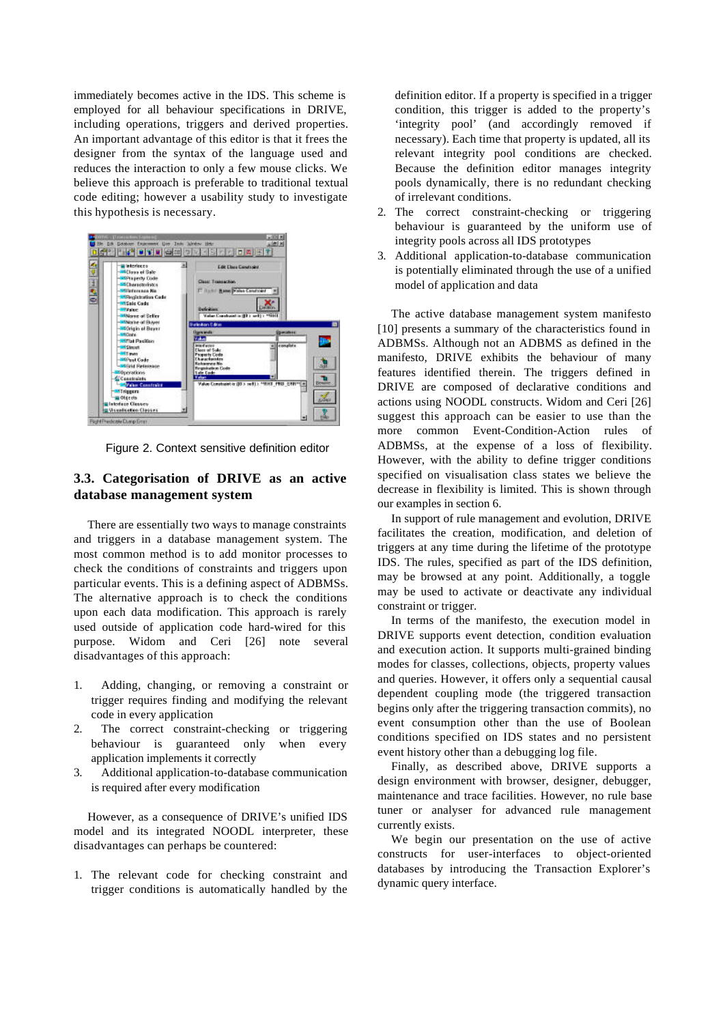immediately becomes active in the IDS. This scheme is employed for all behaviour specifications in DRIVE, including operations, triggers and derived properties. An important advantage of this editor is that it frees the designer from the syntax of the language used and reduces the interaction to only a few mouse clicks. We believe this approach is preferable to traditional textual code editing; however a usability study to investigate this hypothesis is necessary.



Figure 2. Context sensitive definition editor

# **3.3. Categorisation of DRIVE as an active database management system**

There are essentially two ways to manage constraints and triggers in a database management system. The most common method is to add monitor processes to check the conditions of constraints and triggers upon particular events. This is a defining aspect of ADBMSs. The alternative approach is to check the conditions upon each data modification. This approach is rarely used outside of application code hard-wired for this purpose. Widom and Ceri [26] note several disadvantages of this approach:

- 1. Adding, changing, or removing a constraint or trigger requires finding and modifying the relevant code in every application
- 2. The correct constraint-checking or triggering behaviour is guaranteed only when every application implements it correctly
- 3. Additional application-to-database communication is required after every modification

However, as a consequence of DRIVE's unified IDS model and its integrated NOODL interpreter, these disadvantages can perhaps be countered:

1. The relevant code for checking constraint and trigger conditions is automatically handled by the

definition editor. If a property is specified in a trigger condition, this trigger is added to the property's 'integrity pool' (and accordingly removed if necessary). Each time that property is updated, all its relevant integrity pool conditions are checked. Because the definition editor manages integrity pools dynamically, there is no redundant checking of irrelevant conditions.

- 2. The correct constraint-checking or triggering behaviour is guaranteed by the uniform use of integrity pools across all IDS prototypes
- 3. Additional application-to-database communication is potentially eliminated through the use of a unified model of application and data

The active database management system manifesto [10] presents a summary of the characteristics found in ADBMSs. Although not an ADBMS as defined in the manifesto, DRIVE exhibits the behaviour of many features identified therein. The triggers defined in DRIVE are composed of declarative conditions and actions using NOODL constructs. Widom and Ceri [26] suggest this approach can be easier to use than the more common Event-Condition-Action rules of ADBMSs, at the expense of a loss of flexibility. However, with the ability to define trigger conditions specified on visualisation class states we believe the decrease in flexibility is limited. This is shown through our examples in section 6.

In support of rule management and evolution, DRIVE facilitates the creation, modification, and deletion of triggers at any time during the lifetime of the prototype IDS. The rules, specified as part of the IDS definition, may be browsed at any point. Additionally, a toggle may be used to activate or deactivate any individual constraint or trigger.

In terms of the manifesto, the execution model in DRIVE supports event detection, condition evaluation and execution action. It supports multi-grained binding modes for classes, collections, objects, property values and queries. However, it offers only a sequential causal dependent coupling mode (the triggered transaction begins only after the triggering transaction commits), no event consumption other than the use of Boolean conditions specified on IDS states and no persistent event history other than a debugging log file.

Finally, as described above, DRIVE supports a design environment with browser, designer, debugger, maintenance and trace facilities. However, no rule base tuner or analyser for advanced rule management currently exists.

We begin our presentation on the use of active constructs for user-interfaces to object-oriented databases by introducing the Transaction Explorer's dynamic query interface.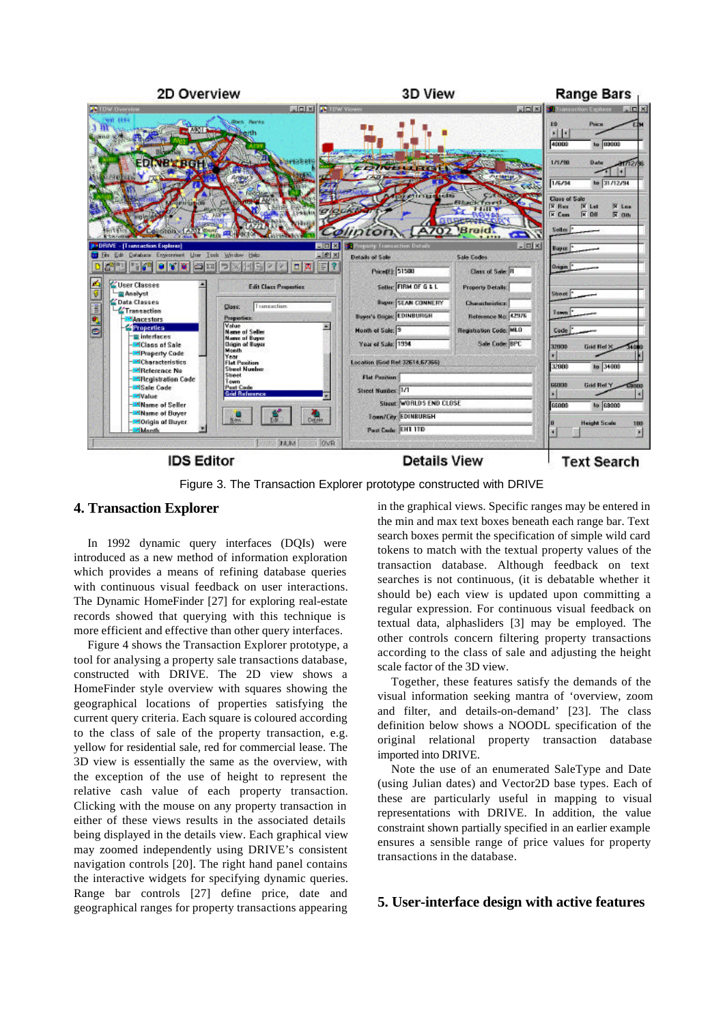

Figure 3. The Transaction Explorer prototype constructed with DRIVE

#### **4. Transaction Explorer**

In 1992 dynamic query interfaces (DQIs) were introduced as a new method of information exploration which provides a means of refining database queries with continuous visual feedback on user interactions. The Dynamic HomeFinder [27] for exploring real-estate records showed that querying with this technique is more efficient and effective than other query interfaces.

Figure 4 shows the Transaction Explorer prototype, a tool for analysing a property sale transactions database, constructed with DRIVE. The 2D view shows a HomeFinder style overview with squares showing the geographical locations of properties satisfying the current query criteria. Each square is coloured according to the class of sale of the property transaction, e.g. yellow for residential sale, red for commercial lease. The 3D view is essentially the same as the overview, with the exception of the use of height to represent the relative cash value of each property transaction. Clicking with the mouse on any property transaction in either of these views results in the associated details being displayed in the details view. Each graphical view may zoomed independently using DRIVE's consistent navigation controls [20]. The right hand panel contains the interactive widgets for specifying dynamic queries. Range bar controls [27] define price, date and geographical ranges for property transactions appearing

in the graphical views. Specific ranges may be entered in the min and max text boxes beneath each range bar. Text search boxes permit the specification of simple wild card tokens to match with the textual property values of the transaction database. Although feedback on text searches is not continuous, (it is debatable whether it should be) each view is updated upon committing a regular expression. For continuous visual feedback on textual data, alphasliders [3] may be employed. The other controls concern filtering property transactions according to the class of sale and adjusting the height scale factor of the 3D view.

Together, these features satisfy the demands of the visual information seeking mantra of 'overview, zoom and filter, and details-on-demand' [23]. The class definition below shows a NOODL specification of the original relational property transaction database imported into DRIVE.

Note the use of an enumerated SaleType and Date (using Julian dates) and Vector2D base types. Each of these are particularly useful in mapping to visual representations with DRIVE. In addition, the value constraint shown partially specified in an earlier example ensures a sensible range of price values for property transactions in the database.

# **5. User-interface design with active features**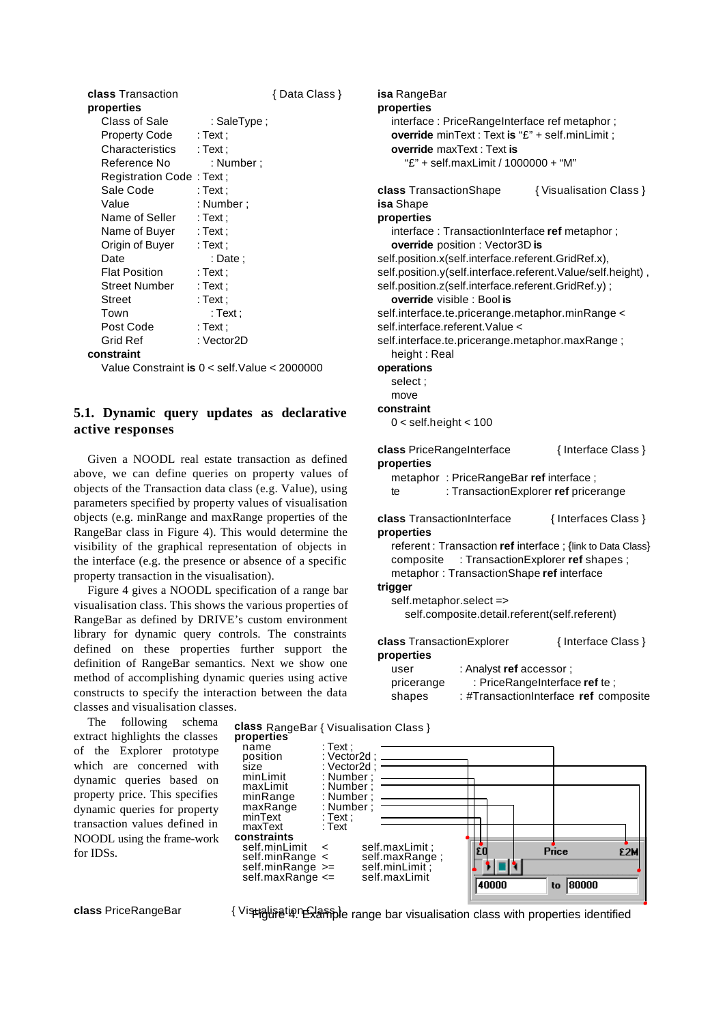| class Transaction        |             | { Data Class } |
|--------------------------|-------------|----------------|
| properties               |             |                |
| Class of Sale            | : SaleType: |                |
| Property Code            | : Text :    |                |
| Characteristics          | : Text :    |                |
| Reference No             | : Number :  |                |
| Registration Code: Text; |             |                |
| Sale Code                | : Text :    |                |
| Value                    | : Number ;  |                |
| Name of Seller           | : Text :    |                |
| Name of Buyer            | : Text :    |                |
| Origin of Buyer          | : Text :    |                |
| Date                     | : Date :    |                |
| <b>Flat Position</b>     | : Text :    |                |
| Street Number            | : Text :    |                |
| Street                   | : Text ;    |                |
| Town                     | : Text :    |                |
| Post Code                | : Text :    |                |
| Grid Ref                 | : Vector2D  |                |
| conctroint               |             |                |

**constraint**

Value Constraint **is** 0 < self.Value < 2000000

# **5.1. Dynamic query updates as declarative active responses**

Given a NOODL real estate transaction as defined above, we can define queries on property values of objects of the Transaction data class (e.g. Value), using parameters specified by property values of visualisation objects (e.g. minRange and maxRange properties of the RangeBar class in Figure 4). This would determine the visibility of the graphical representation of objects in the interface (e.g. the presence or absence of a specific property transaction in the visualisation).

Figure 4 gives a NOODL specification of a range bar visualisation class. This shows the various properties of RangeBar as defined by DRIVE's custom environment library for dynamic query controls. The constraints defined on these properties further support the definition of RangeBar semantics. Next we show one method of accomplishing dynamic queries using active constructs to specify the interaction between the data classes and visualisation classes.

The following schema extract highlights the classes of the Explorer prototype which are concerned with dynamic queries based on property price. This specifies dynamic queries for property transaction values defined in NOODL using the frame-work for IDSs.

class PriceRangeBar **Antical Communists** { Vistialisation class with properties identified

Гī

40000

Price

to 80000

\$ 2W

self.maxRange;<br>self.minLimit:

**isa** RangeBar **properties** interface : PriceRangeInterface ref metaphor ; **override** minText : Text **is** "£" + self.minLimit ; **override** maxText : Text **is** "£" + self.maxLimit / 1000000 + "M" **class** TransactionShape { Visualisation Class } **isa** Shape **properties** interface : TransactionInterface **ref** metaphor ; **override** position : Vector3D **is** self.position.x(self.interface.referent.GridRef.x), self.position.y(self.interface.referent.Value/self.height) , self.position.z(self.interface.referent.GridRef.y); **override** visible : Bool **is** self.interface.te.pricerange.metaphor.minRange < self.interface.referent.Value < self.interface.te.pricerange.metaphor.maxRange ; height : Real **operations** select ; move **constraint** 0 < self.height < 100 **class** PriceRangeInterface { Interface Class } **properties** metaphor : PriceRangeBar **ref** interface ; te : TransactionExplorer **ref** pricerange **class** TransactionInterface { Interfaces Class } **properties** referent : Transaction **ref** interface ; {link to Data Class} composite : TransactionExplorer **ref** shapes ; metaphor : TransactionShape **ref** interface **trigger** self.metaphor.select => self.composite.detail.referent(self.referent) **class** TransactionExplorer { Interface Class } **properties** user : Analyst **ref** accessor ; pricerange : PriceRangeInterface **ref** te ; shapes : #TransactionInterface **ref** composite



Number ;<br>Number :

self.minLimit < self.maxLimit ;<br>self.minRange < self.maxRange

self.minRange >= self.minLimit<br>self.maxRange <= self.maxLimit

name : Text;<br>position : Vecto position : Vector2d<br>size : Vector2d size : Vector2d<br>minLimit : Number ;

maxLimit : Number<br>minRange : Number minRange : Number<br>maxRange : Number maxRange : Num<br>minText : Text

maxText : Text

self.maxRange $\leq$ 

 $minText$ 

**constraints**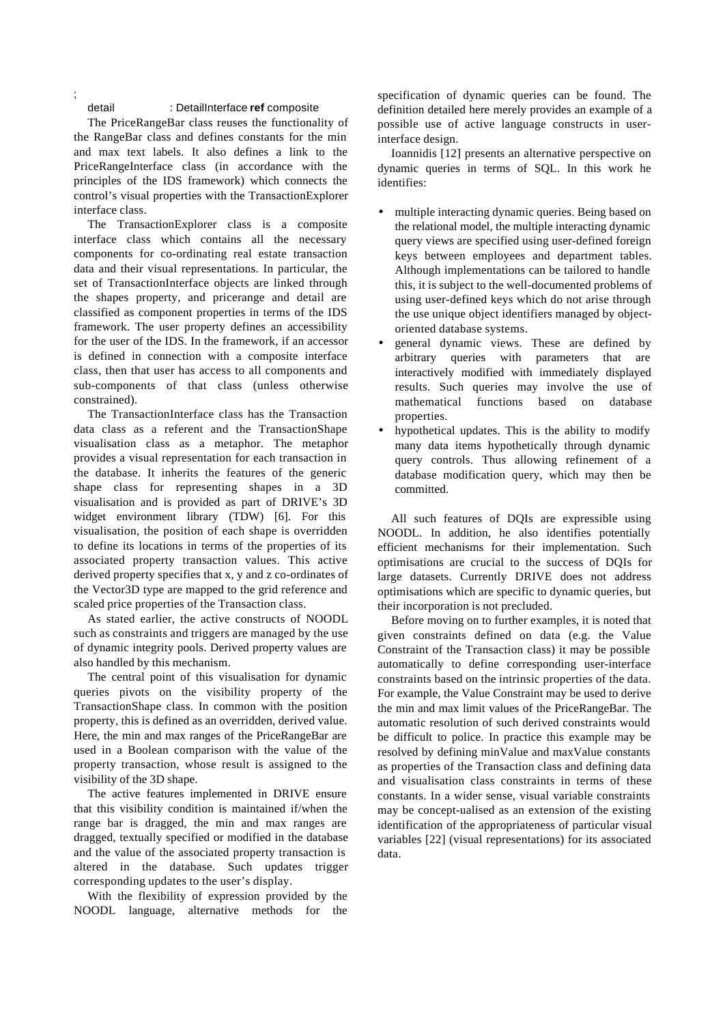#### detail : DetailInterface **ref** composite

;

The PriceRangeBar class reuses the functionality of the RangeBar class and defines constants for the min and max text labels. It also defines a link to the PriceRangeInterface class (in accordance with the principles of the IDS framework) which connects the control's visual properties with the TransactionExplorer interface class.

The TransactionExplorer class is a composite interface class which contains all the necessary components for co-ordinating real estate transaction data and their visual representations. In particular, the set of TransactionInterface objects are linked through the shapes property, and pricerange and detail are classified as component properties in terms of the IDS framework. The user property defines an accessibility for the user of the IDS. In the framework, if an accessor is defined in connection with a composite interface class, then that user has access to all components and sub-components of that class (unless otherwise constrained).

The TransactionInterface class has the Transaction data class as a referent and the TransactionShape visualisation class as a metaphor. The metaphor provides a visual representation for each transaction in the database. It inherits the features of the generic shape class for representing shapes in a 3D visualisation and is provided as part of DRIVE's 3D widget environment library (TDW) [6]. For this visualisation, the position of each shape is overridden to define its locations in terms of the properties of its associated property transaction values. This active derived property specifies that x, y and z co-ordinates of the Vector3D type are mapped to the grid reference and scaled price properties of the Transaction class.

As stated earlier, the active constructs of NOODL such as constraints and triggers are managed by the use of dynamic integrity pools. Derived property values are also handled by this mechanism.

The central point of this visualisation for dynamic queries pivots on the visibility property of the TransactionShape class. In common with the position property, this is defined as an overridden, derived value. Here, the min and max ranges of the PriceRangeBar are used in a Boolean comparison with the value of the property transaction, whose result is assigned to the visibility of the 3D shape.

The active features implemented in DRIVE ensure that this visibility condition is maintained if/when the range bar is dragged, the min and max ranges are dragged, textually specified or modified in the database and the value of the associated property transaction is altered in the database. Such updates trigger corresponding updates to the user's display.

With the flexibility of expression provided by the NOODL language, alternative methods for the specification of dynamic queries can be found. The definition detailed here merely provides an example of a possible use of active language constructs in userinterface design.

Ioannidis [12] presents an alternative perspective on dynamic queries in terms of SQL. In this work he identifies:

- multiple interacting dynamic queries. Being based on the relational model, the multiple interacting dynamic query views are specified using user-defined foreign keys between employees and department tables. Although implementations can be tailored to handle this, it is subject to the well-documented problems of using user-defined keys which do not arise through the use unique object identifiers managed by objectoriented database systems.
- general dynamic views. These are defined by arbitrary queries with parameters that are interactively modified with immediately displayed results. Such queries may involve the use of mathematical functions based on database properties.
- hypothetical updates. This is the ability to modify many data items hypothetically through dynamic query controls. Thus allowing refinement of a database modification query, which may then be committed.

All such features of DQIs are expressible using NOODL. In addition, he also identifies potentially efficient mechanisms for their implementation. Such optimisations are crucial to the success of DQIs for large datasets. Currently DRIVE does not address optimisations which are specific to dynamic queries, but their incorporation is not precluded.

Before moving on to further examples, it is noted that given constraints defined on data (e.g. the Value Constraint of the Transaction class) it may be possible automatically to define corresponding user-interface constraints based on the intrinsic properties of the data. For example, the Value Constraint may be used to derive the min and max limit values of the PriceRangeBar. The automatic resolution of such derived constraints would be difficult to police. In practice this example may be resolved by defining minValue and maxValue constants as properties of the Transaction class and defining data and visualisation class constraints in terms of these constants. In a wider sense, visual variable constraints may be concept-ualised as an extension of the existing identification of the appropriateness of particular visual variables [22] (visual representations) for its associated data.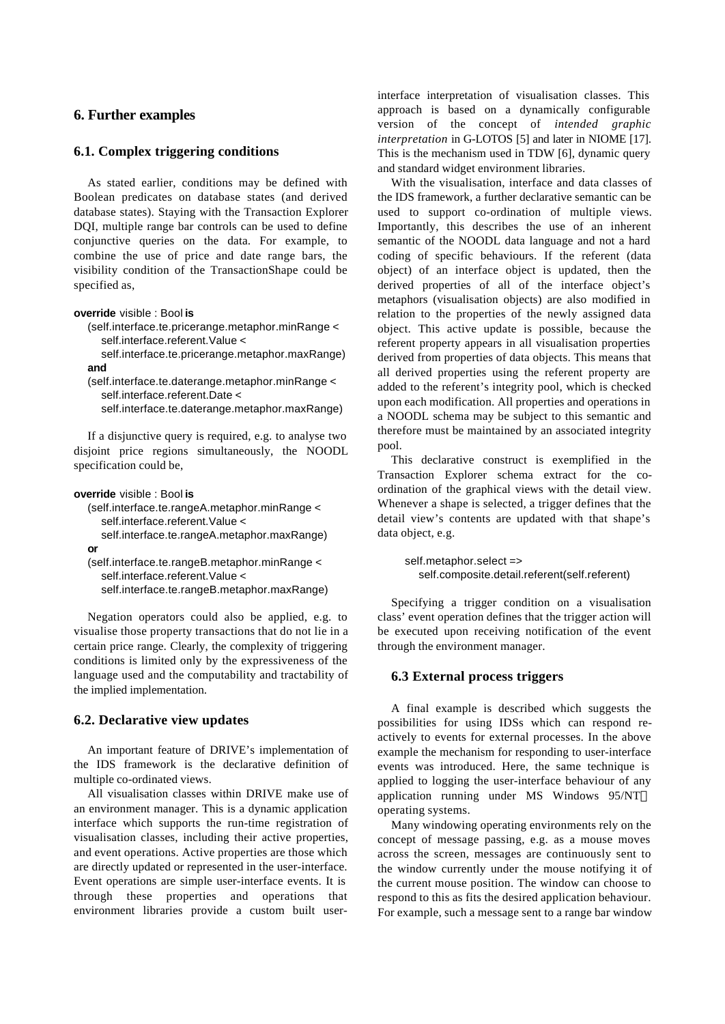### **6. Further examples**

### **6.1. Complex triggering conditions**

As stated earlier, conditions may be defined with Boolean predicates on database states (and derived database states). Staying with the Transaction Explorer DQI, multiple range bar controls can be used to define conjunctive queries on the data. For example, to combine the use of price and date range bars, the visibility condition of the TransactionShape could be specified as,

**override** visible : Bool **is**

(self.interface.te.pricerange.metaphor.minRange < self.interface.referent.Value <

self.interface.te.pricerange.metaphor.maxRange) **and**

(self.interface.te.daterange.metaphor.minRange < self.interface.referent.Date <

self.interface.te.daterange.metaphor.maxRange)

If a disjunctive query is required, e.g. to analyse two disjoint price regions simultaneously, the NOODL specification could be,

```
override visible : Bool is
```

```
(self.interface.te.rangeA.metaphor.minRange <
  self.interface.referent.Value <
  self.interface.te.rangeA.metaphor.maxRange)
or
(self.interface.te.rangeB.metaphor.minRange <
```
self.interface.referent.Value < self.interface.te.rangeB.metaphor.maxRange)

Negation operators could also be applied, e.g. to visualise those property transactions that do not lie in a certain price range. Clearly, the complexity of triggering conditions is limited only by the expressiveness of the language used and the computability and tractability of the implied implementation.

# **6.2. Declarative view updates**

An important feature of DRIVE's implementation of the IDS framework is the declarative definition of multiple co-ordinated views.

All visualisation classes within DRIVE make use of an environment manager. This is a dynamic application interface which supports the run-time registration of visualisation classes, including their active properties, and event operations. Active properties are those which are directly updated or represented in the user-interface. Event operations are simple user-interface events. It is through these properties and operations that environment libraries provide a custom built userinterface interpretation of visualisation classes. This approach is based on a dynamically configurable version of the concept of *intended graphic interpretation* in G-LOTOS [5] and later in NIOME [17]. This is the mechanism used in TDW [6], dynamic query and standard widget environment libraries.

With the visualisation, interface and data classes of the IDS framework, a further declarative semantic can be used to support co-ordination of multiple views. Importantly, this describes the use of an inherent semantic of the NOODL data language and not a hard coding of specific behaviours. If the referent (data object) of an interface object is updated, then the derived properties of all of the interface object's metaphors (visualisation objects) are also modified in relation to the properties of the newly assigned data object. This active update is possible, because the referent property appears in all visualisation properties derived from properties of data objects. This means that all derived properties using the referent property are added to the referent's integrity pool, which is checked upon each modification. All properties and operations in a NOODL schema may be subject to this semantic and therefore must be maintained by an associated integrity pool.

This declarative construct is exemplified in the Transaction Explorer schema extract for the coordination of the graphical views with the detail view. Whenever a shape is selected, a trigger defines that the detail view's contents are updated with that shape's data object, e.g.

self.metaphor.select => self.composite.detail.referent(self.referent)

Specifying a trigger condition on a visualisation class' event operation defines that the trigger action will be executed upon receiving notification of the event through the environment manager.

### **6.3 External process triggers**

A final example is described which suggests the possibilities for using IDSs which can respond reactively to events for external processes. In the above example the mechanism for responding to user-interface events was introduced. Here, the same technique is applied to logging the user-interface behaviour of any application running under MS Windows 95/NT<sup>™</sup> operating systems.

Many windowing operating environments rely on the concept of message passing, e.g. as a mouse moves across the screen, messages are continuously sent to the window currently under the mouse notifying it of the current mouse position. The window can choose to respond to this as fits the desired application behaviour. For example, such a message sent to a range bar window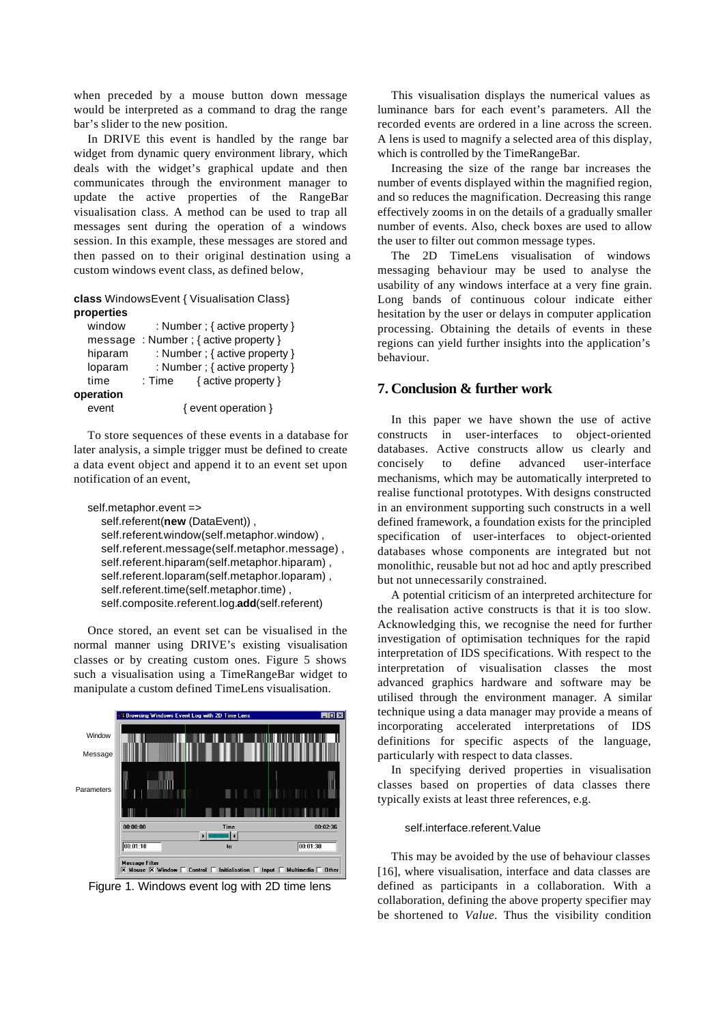when preceded by a mouse button down message would be interpreted as a command to drag the range bar's slider to the new position.

In DRIVE this event is handled by the range bar widget from dynamic query environment library, which deals with the widget's graphical update and then communicates through the environment manager to update the active properties of the RangeBar visualisation class. A method can be used to trap all messages sent during the operation of a windows session. In this example, these messages are stored and then passed on to their original destination using a custom windows event class, as defined below,

### **class** WindowsEvent { Visualisation Class} **properties**

| window    | : Number ; { active property } |                     |  |
|-----------|--------------------------------|---------------------|--|
| message   | : Number ; { active property } |                     |  |
| hiparam   | : Number ; { active property } |                     |  |
| loparam   | : Number ; { active property } |                     |  |
| time      | : Time                         | { active property } |  |
| operation |                                |                     |  |
| event     | { event operation }            |                     |  |

To store sequences of these events in a database for later analysis, a simple trigger must be defined to create a data event object and append it to an event set upon notification of an event,

self.metaphor.event => self.referent(**new** (DataEvent)) , self.referent.window(self.metaphor.window) , self.referent.message(self.metaphor.message) , self.referent.hiparam(self.metaphor.hiparam) , self.referent.loparam(self.metaphor.loparam) , self.referent.time(self.metaphor.time) , self.composite.referent.log.**add**(self.referent)

Once stored, an event set can be visualised in the normal manner using DRIVE's existing visualisation classes or by creating custom ones. Figure 5 shows such a visualisation using a TimeRangeBar widget to manipulate a custom defined TimeLens visualisation.



Figure 1. Windows event log with 2D time lens

This visualisation displays the numerical values as luminance bars for each event's parameters. All the recorded events are ordered in a line across the screen. A lens is used to magnify a selected area of this display, which is controlled by the TimeRangeBar.

Increasing the size of the range bar increases the number of events displayed within the magnified region, and so reduces the magnification. Decreasing this range effectively zooms in on the details of a gradually smaller number of events. Also, check boxes are used to allow the user to filter out common message types.

The 2D TimeLens visualisation of windows messaging behaviour may be used to analyse the usability of any windows interface at a very fine grain. Long bands of continuous colour indicate either hesitation by the user or delays in computer application processing. Obtaining the details of events in these regions can yield further insights into the application's behaviour.

### **7. Conclusion & further work**

In this paper we have shown the use of active constructs in user-interfaces to object-oriented databases. Active constructs allow us clearly and concisely to define advanced user-interface mechanisms, which may be automatically interpreted to realise functional prototypes. With designs constructed in an environment supporting such constructs in a well defined framework, a foundation exists for the principled specification of user-interfaces to object-oriented databases whose components are integrated but not monolithic, reusable but not ad hoc and aptly prescribed but not unnecessarily constrained.

A potential criticism of an interpreted architecture for the realisation active constructs is that it is too slow. Acknowledging this, we recognise the need for further investigation of optimisation techniques for the rapid interpretation of IDS specifications. With respect to the interpretation of visualisation classes the most advanced graphics hardware and software may be utilised through the environment manager. A similar technique using a data manager may provide a means of incorporating accelerated interpretations of IDS definitions for specific aspects of the language, particularly with respect to data classes.

In specifying derived properties in visualisation classes based on properties of data classes there typically exists at least three references, e.g.

#### self.interface.referent.Value

This may be avoided by the use of behaviour classes [16], where visualisation, interface and data classes are defined as participants in a collaboration. With a collaboration, defining the above property specifier may be shortened to *Value*. Thus the visibility condition